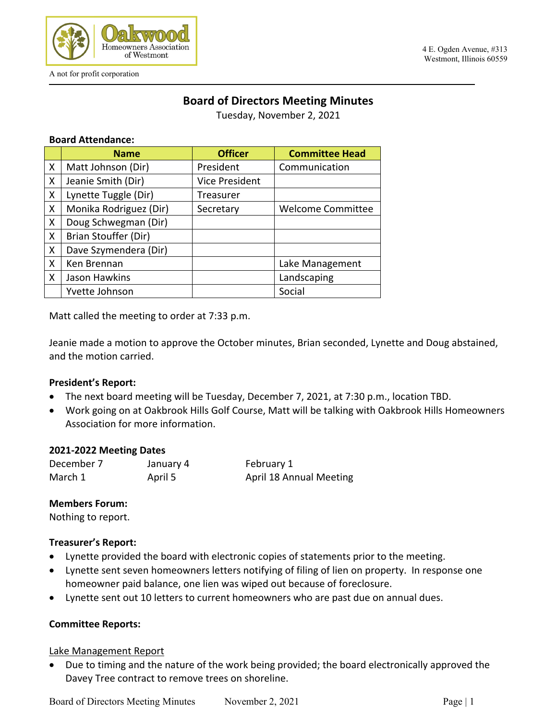

# **Board of Directors Meeting Minutes**

Tuesday, November 2, 2021

#### **Board Attendance:**

|   | <b>Name</b>            | <b>Officer</b>        | <b>Committee Head</b>    |
|---|------------------------|-----------------------|--------------------------|
| X | Matt Johnson (Dir)     | President             | Communication            |
| X | Jeanie Smith (Dir)     | <b>Vice President</b> |                          |
| X | Lynette Tuggle (Dir)   | Treasurer             |                          |
| X | Monika Rodriguez (Dir) | Secretary             | <b>Welcome Committee</b> |
| X | Doug Schwegman (Dir)   |                       |                          |
| X | Brian Stouffer (Dir)   |                       |                          |
| X | Dave Szymendera (Dir)  |                       |                          |
| X | Ken Brennan            |                       | Lake Management          |
| X | Jason Hawkins          |                       | Landscaping              |
|   | Yvette Johnson         |                       | Social                   |

Matt called the meeting to order at 7:33 p.m.

Jeanie made a motion to approve the October minutes, Brian seconded, Lynette and Doug abstained, and the motion carried.

#### **President's Report:**

- The next board meeting will be Tuesday, December 7, 2021, at 7:30 p.m., location TBD.
- Work going on at Oakbrook Hills Golf Course, Matt will be talking with Oakbrook Hills Homeowners Association for more information.

#### **2021-2022 Meeting Dates**

December 7 January 4 February 1 March 1 **April 5** April 18 Annual Meeting

### **Members Forum:**

Nothing to report.

#### **Treasurer's Report:**

- Lynette provided the board with electronic copies of statements prior to the meeting.
- Lynette sent seven homeowners letters notifying of filing of lien on property. In response one homeowner paid balance, one lien was wiped out because of foreclosure.
- Lynette sent out 10 letters to current homeowners who are past due on annual dues.

#### **Committee Reports:**

#### Lake Management Report

• Due to timing and the nature of the work being provided; the board electronically approved the Davey Tree contract to remove trees on shoreline.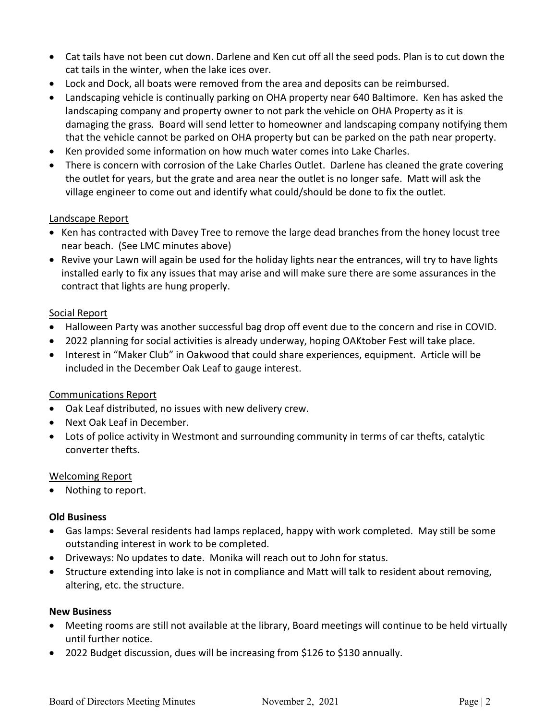- Cat tails have not been cut down. Darlene and Ken cut off all the seed pods. Plan is to cut down the cat tails in the winter, when the lake ices over.
- Lock and Dock, all boats were removed from the area and deposits can be reimbursed.
- Landscaping vehicle is continually parking on OHA property near 640 Baltimore. Ken has asked the landscaping company and property owner to not park the vehicle on OHA Property as it is damaging the grass. Board will send letter to homeowner and landscaping company notifying them that the vehicle cannot be parked on OHA property but can be parked on the path near property.
- Ken provided some information on how much water comes into Lake Charles.
- There is concern with corrosion of the Lake Charles Outlet. Darlene has cleaned the grate covering the outlet for years, but the grate and area near the outlet is no longer safe. Matt will ask the village engineer to come out and identify what could/should be done to fix the outlet.

### Landscape Report

- Ken has contracted with Davey Tree to remove the large dead branches from the honey locust tree near beach. (See LMC minutes above)
- Revive your Lawn will again be used for the holiday lights near the entrances, will try to have lights installed early to fix any issues that may arise and will make sure there are some assurances in the contract that lights are hung properly.

### Social Report

- Halloween Party was another successful bag drop off event due to the concern and rise in COVID.
- 2022 planning for social activities is already underway, hoping OAKtober Fest will take place.
- Interest in "Maker Club" in Oakwood that could share experiences, equipment. Article will be included in the December Oak Leaf to gauge interest.

## Communications Report

- Oak Leaf distributed, no issues with new delivery crew.
- Next Oak Leaf in December.
- Lots of police activity in Westmont and surrounding community in terms of car thefts, catalytic converter thefts.

### Welcoming Report

• Nothing to report.

### **Old Business**

- Gas lamps: Several residents had lamps replaced, happy with work completed. May still be some outstanding interest in work to be completed.
- Driveways: No updates to date. Monika will reach out to John for status.
- Structure extending into lake is not in compliance and Matt will talk to resident about removing, altering, etc. the structure.

### **New Business**

- Meeting rooms are still not available at the library, Board meetings will continue to be held virtually until further notice.
- 2022 Budget discussion, dues will be increasing from \$126 to \$130 annually.